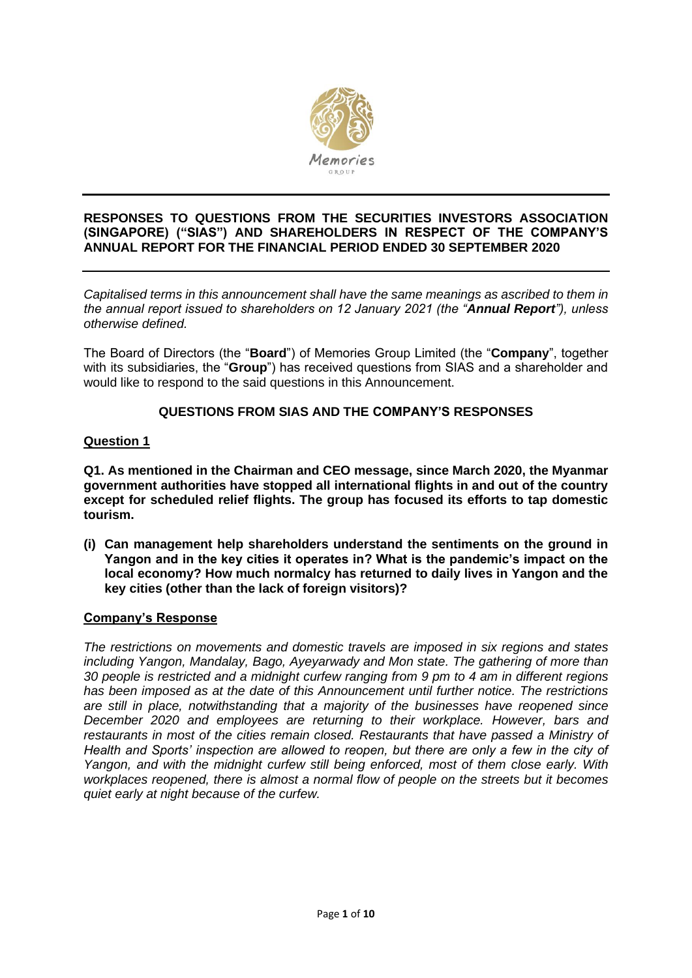

### **RESPONSES TO QUESTIONS FROM THE SECURITIES INVESTORS ASSOCIATION (SINGAPORE) ("SIAS") AND SHAREHOLDERS IN RESPECT OF THE COMPANY'S ANNUAL REPORT FOR THE FINANCIAL PERIOD ENDED 30 SEPTEMBER 2020**

*Capitalised terms in this announcement shall have the same meanings as ascribed to them in the annual report issued to shareholders on 12 January 2021 (the "Annual Report"), unless otherwise defined.* 

The Board of Directors (the "**Board**") of Memories Group Limited (the "**Company**", together with its subsidiaries, the "**Group**") has received questions from SIAS and a shareholder and would like to respond to the said questions in this Announcement.

# **QUESTIONS FROM SIAS AND THE COMPANY'S RESPONSES**

# **Question 1**

**Q1. As mentioned in the Chairman and CEO message, since March 2020, the Myanmar government authorities have stopped all international flights in and out of the country except for scheduled relief flights. The group has focused its efforts to tap domestic tourism.**

**(i) Can management help shareholders understand the sentiments on the ground in Yangon and in the key cities it operates in? What is the pandemic's impact on the local economy? How much normalcy has returned to daily lives in Yangon and the key cities (other than the lack of foreign visitors)?**

### **Company's Response**

*The restrictions on movements and domestic travels are imposed in six regions and states including Yangon, Mandalay, Bago, Ayeyarwady and Mon state. The gathering of more than 30 people is restricted and a midnight curfew ranging from 9 pm to 4 am in different regions has been imposed as at the date of this Announcement until further notice. The restrictions are still in place, notwithstanding that a majority of the businesses have reopened since December 2020 and employees are returning to their workplace. However, bars and restaurants in most of the cities remain closed. Restaurants that have passed a Ministry of Health and Sports' inspection are allowed to reopen, but there are only a few in the city of Yangon, and with the midnight curfew still being enforced, most of them close early. With workplaces reopened, there is almost a normal flow of people on the streets but it becomes quiet early at night because of the curfew.*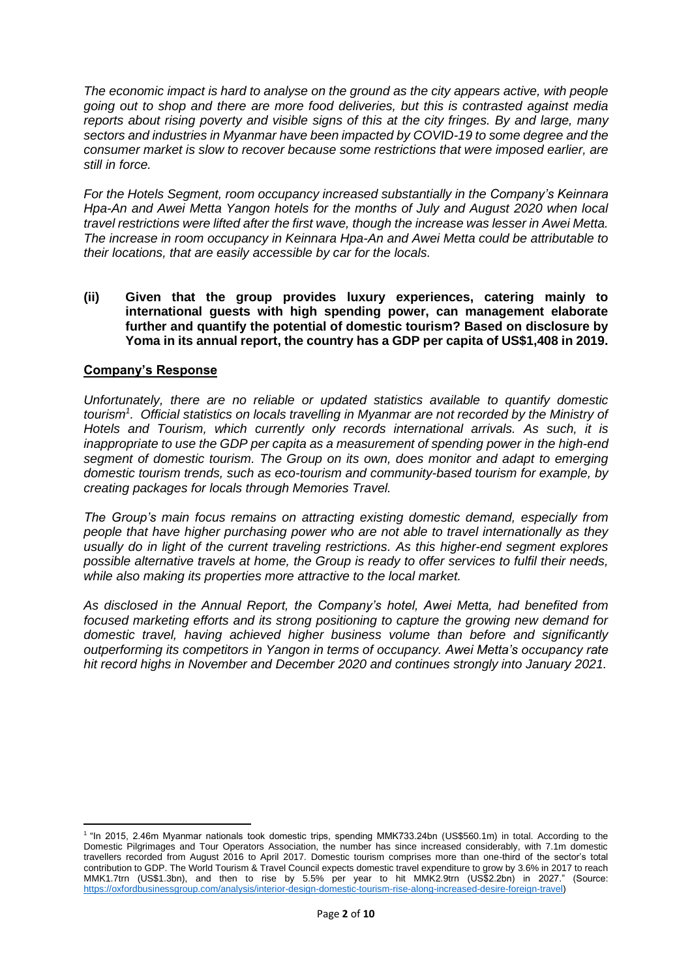*The economic impact is hard to analyse on the ground as the city appears active, with people going out to shop and there are more food deliveries, but this is contrasted against media reports about rising poverty and visible signs of this at the city fringes. By and large, many sectors and industries in Myanmar have been impacted by COVID-19 to some degree and the consumer market is slow to recover because some restrictions that were imposed earlier, are still in force.*

*For the Hotels Segment, room occupancy increased substantially in the Company's Keinnara Hpa-An and Awei Metta Yangon hotels for the months of July and August 2020 when local travel restrictions were lifted after the first wave, though the increase was lesser in Awei Metta. The increase in room occupancy in Keinnara Hpa-An and Awei Metta could be attributable to their locations, that are easily accessible by car for the locals.*

**(ii) Given that the group provides luxury experiences, catering mainly to international guests with high spending power, can management elaborate further and quantify the potential of domestic tourism? Based on disclosure by Yoma in its annual report, the country has a GDP per capita of US\$1,408 in 2019.**

# **Company's Response**

*Unfortunately, there are no reliable or updated statistics available to quantify domestic tourism<sup>1</sup> . Official statistics on locals travelling in Myanmar are not recorded by the Ministry of Hotels and Tourism, which currently only records international arrivals. As such, it is inappropriate to use the GDP per capita as a measurement of spending power in the high-end segment of domestic tourism. The Group on its own, does monitor and adapt to emerging domestic tourism trends, such as eco-tourism and community-based tourism for example, by creating packages for locals through Memories Travel.*

*The Group's main focus remains on attracting existing domestic demand, especially from people that have higher purchasing power who are not able to travel internationally as they usually do in light of the current traveling restrictions. As this higher-end segment explores possible alternative travels at home, the Group is ready to offer services to fulfil their needs, while also making its properties more attractive to the local market.*

*As disclosed in the Annual Report, the Company's hotel, Awei Metta, had benefited from focused marketing efforts and its strong positioning to capture the growing new demand for domestic travel, having achieved higher business volume than before and significantly outperforming its competitors in Yangon in terms of occupancy. Awei Metta's occupancy rate hit record highs in November and December 2020 and continues strongly into January 2021.*

<sup>&</sup>lt;sup>1</sup> "In 2015, 2.46m Myanmar nationals took domestic trips, spending MMK733.24bn (US\$560.1m) in total. According to the Domestic Pilgrimages and Tour Operators Association, the number has since increased considerably, with 7.1m domestic travellers recorded from August 2016 to April 2017. Domestic tourism comprises more than one-third of the sector's total contribution to GDP. The World Tourism & Travel Council expects domestic travel expenditure to grow by 3.6% in 2017 to reach MMK1.7trn (US\$1.3bn), and then to rise by 5.5% per year to hit MMK2.9trn (US\$2.2bn) in 2027." (Source: [https://oxfordbusinessgroup.com/analysis/interior-design-domestic-tourism-rise-along-increased-desire-foreign-travel\)](https://oxfordbusinessgroup.com/analysis/interior-design-domestic-tourism-rise-along-increased-desire-foreign-travel)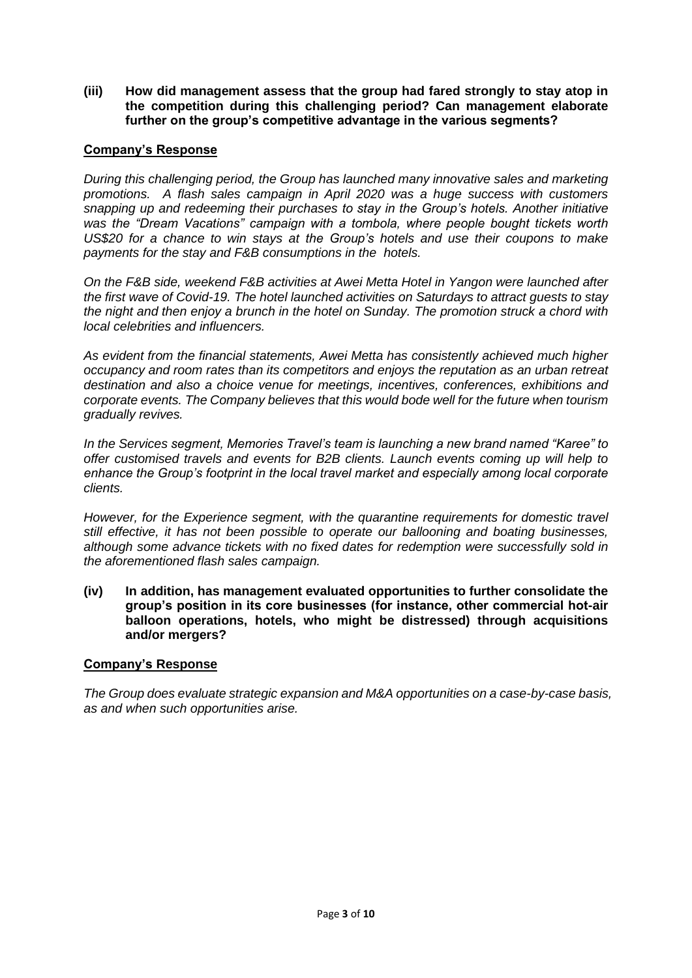**(iii) How did management assess that the group had fared strongly to stay atop in the competition during this challenging period? Can management elaborate further on the group's competitive advantage in the various segments?**

# **Company's Response**

*During this challenging period, the Group has launched many innovative sales and marketing promotions. A flash sales campaign in April 2020 was a huge success with customers snapping up and redeeming their purchases to stay in the Group's hotels. Another initiative was the "Dream Vacations" campaign with a tombola, where people bought tickets worth US\$20 for a chance to win stays at the Group's hotels and use their coupons to make payments for the stay and F&B consumptions in the hotels.*

*On the F&B side, weekend F&B activities at Awei Metta Hotel in Yangon were launched after the first wave of Covid-19. The hotel launched activities on Saturdays to attract guests to stay the night and then enjoy a brunch in the hotel on Sunday. The promotion struck a chord with local celebrities and influencers.* 

*As evident from the financial statements, Awei Metta has consistently achieved much higher occupancy and room rates than its competitors and enjoys the reputation as an urban retreat destination and also a choice venue for meetings, incentives, conferences, exhibitions and corporate events. The Company believes that this would bode well for the future when tourism gradually revives.*

*In the Services segment, Memories Travel's team is launching a new brand named "Karee" to offer customised travels and events for B2B clients. Launch events coming up will help to enhance the Group's footprint in the local travel market and especially among local corporate clients.* 

*However, for the Experience segment, with the quarantine requirements for domestic travel still effective, it has not been possible to operate our ballooning and boating businesses, although some advance tickets with no fixed dates for redemption were successfully sold in the aforementioned flash sales campaign.* 

**(iv) In addition, has management evaluated opportunities to further consolidate the group's position in its core businesses (for instance, other commercial hot-air balloon operations, hotels, who might be distressed) through acquisitions and/or mergers?**

### **Company's Response**

*The Group does evaluate strategic expansion and M&A opportunities on a case-by-case basis, as and when such opportunities arise.*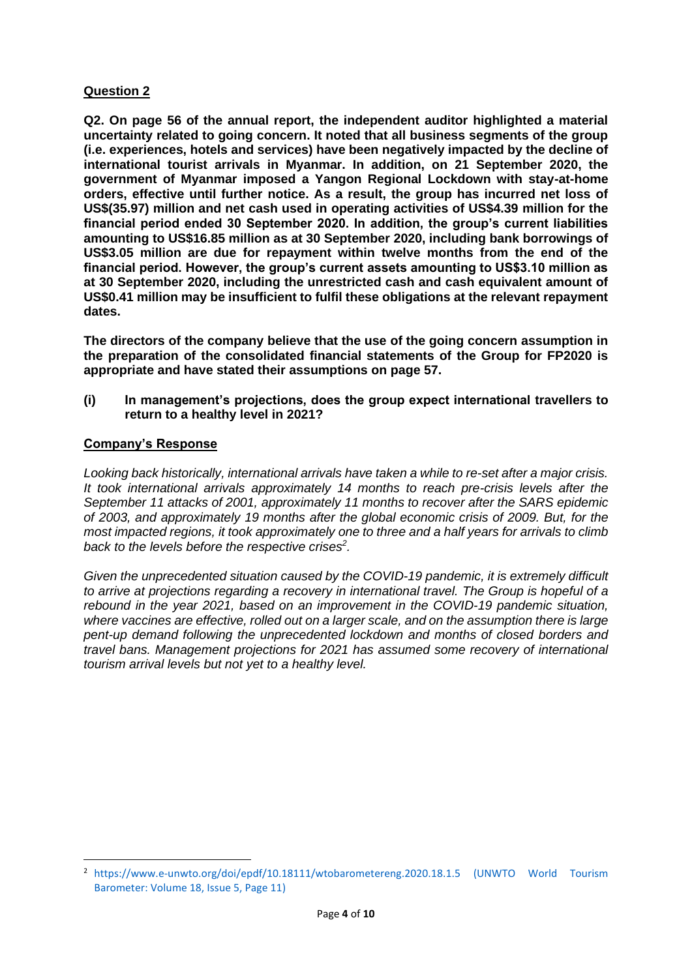### **Question 2**

**Q2. On page 56 of the annual report, the independent auditor highlighted a material uncertainty related to going concern. It noted that all business segments of the group (i.e. experiences, hotels and services) have been negatively impacted by the decline of international tourist arrivals in Myanmar. In addition, on 21 September 2020, the government of Myanmar imposed a Yangon Regional Lockdown with stay-at-home orders, effective until further notice. As a result, the group has incurred net loss of US\$(35.97) million and net cash used in operating activities of US\$4.39 million for the financial period ended 30 September 2020. In addition, the group's current liabilities amounting to US\$16.85 million as at 30 September 2020, including bank borrowings of US\$3.05 million are due for repayment within twelve months from the end of the financial period. However, the group's current assets amounting to US\$3.10 million as at 30 September 2020, including the unrestricted cash and cash equivalent amount of US\$0.41 million may be insufficient to fulfil these obligations at the relevant repayment dates.** 

**The directors of the company believe that the use of the going concern assumption in the preparation of the consolidated financial statements of the Group for FP2020 is appropriate and have stated their assumptions on page 57.**

**(i) In management's projections, does the group expect international travellers to return to a healthy level in 2021?**

### **Company's Response**

*Looking back historically, international arrivals have taken a while to re-set after a major crisis. It took international arrivals approximately 14 months to reach pre-crisis levels after the September 11 attacks of 2001, approximately 11 months to recover after the SARS epidemic of 2003, and approximately 19 months after the global economic crisis of 2009. But, for the most impacted regions, it took approximately one to three and a half years for arrivals to climb back to the levels before the respective crises<sup>2</sup> .*

*Given the unprecedented situation caused by the COVID-19 pandemic, it is extremely difficult to arrive at projections regarding a recovery in international travel. The Group is hopeful of a rebound in the year 2021, based on an improvement in the COVID-19 pandemic situation, where vaccines are effective, rolled out on a larger scale, and on the assumption there is large pent-up demand following the unprecedented lockdown and months of closed borders and travel bans. Management projections for 2021 has assumed some recovery of international tourism arrival levels but not yet to a healthy level.* 

<sup>2</sup> <https://www.e-unwto.org/doi/epdf/10.18111/wtobarometereng.2020.18.1.5> (UNWTO World Tourism Barometer: Volume 18, Issue 5, Page 11)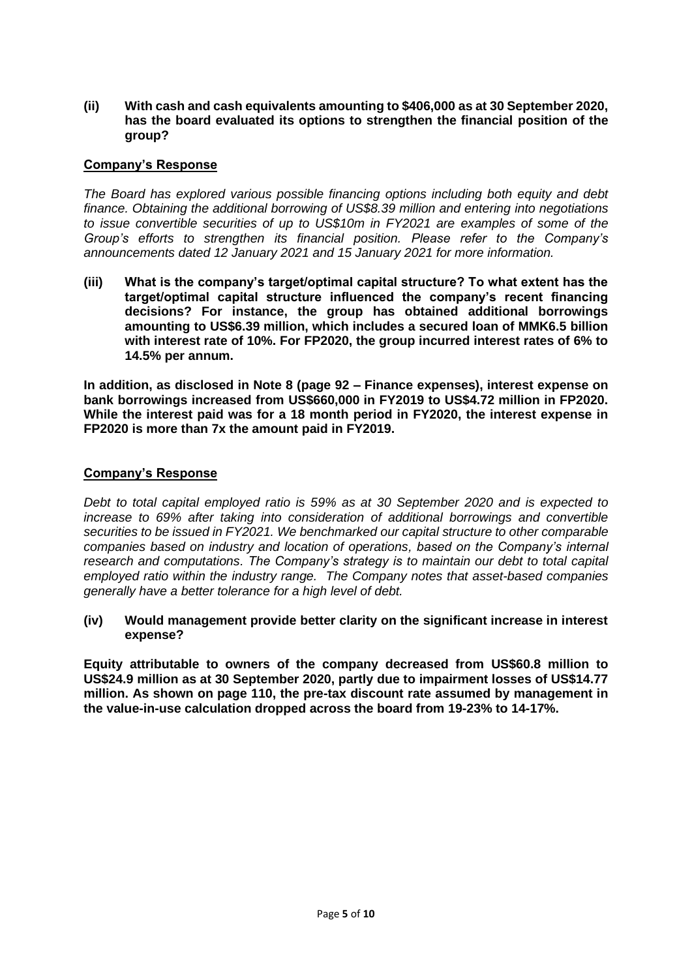#### **(ii) With cash and cash equivalents amounting to \$406,000 as at 30 September 2020, has the board evaluated its options to strengthen the financial position of the group?**

### **Company's Response**

*The Board has explored various possible financing options including both equity and debt finance. Obtaining the additional borrowing of US\$8.39 million and entering into negotiations to issue convertible securities of up to US\$10m in FY2021 are examples of some of the Group's efforts to strengthen its financial position. Please refer to the Company's announcements dated 12 January 2021 and 15 January 2021 for more information.*

**(iii) What is the company's target/optimal capital structure? To what extent has the target/optimal capital structure influenced the company's recent financing decisions? For instance, the group has obtained additional borrowings amounting to US\$6.39 million, which includes a secured loan of MMK6.5 billion with interest rate of 10%. For FP2020, the group incurred interest rates of 6% to 14.5% per annum.**

**In addition, as disclosed in Note 8 (page 92 – Finance expenses), interest expense on bank borrowings increased from US\$660,000 in FY2019 to US\$4.72 million in FP2020. While the interest paid was for a 18 month period in FY2020, the interest expense in FP2020 is more than 7x the amount paid in FY2019.**

### **Company's Response**

*Debt to total capital employed ratio is 59% as at 30 September 2020 and is expected to increase to 69% after taking into consideration of additional borrowings and convertible securities to be issued in FY2021. We benchmarked our capital structure to other comparable companies based on industry and location of operations, based on the Company's internal research and computations. The Company's strategy is to maintain our debt to total capital employed ratio within the industry range. The Company notes that asset-based companies generally have a better tolerance for a high level of debt.*

**(iv) Would management provide better clarity on the significant increase in interest expense?**

**Equity attributable to owners of the company decreased from US\$60.8 million to US\$24.9 million as at 30 September 2020, partly due to impairment losses of US\$14.77 million. As shown on page 110, the pre-tax discount rate assumed by management in the value-in-use calculation dropped across the board from 19-23% to 14-17%.**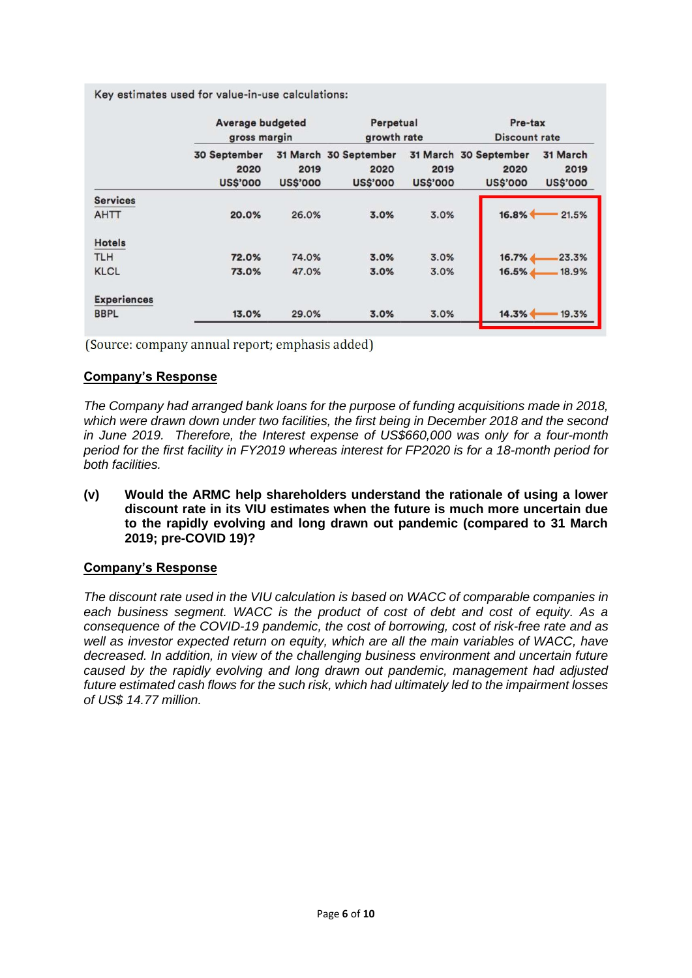Key estimates used for value-in-use calculations:

|                    | <b>Average budgeted</b><br>gross margin |                         | Perpetual<br>growth rate                         |                         | Pre-tax<br><b>Discount rate</b>                  |                                     |
|--------------------|-----------------------------------------|-------------------------|--------------------------------------------------|-------------------------|--------------------------------------------------|-------------------------------------|
|                    | 30 September<br>2020<br><b>US\$'000</b> | 2019<br><b>US\$'000</b> | 31 March 30 September<br>2020<br><b>US\$'000</b> | 2019<br><b>US\$'000</b> | 31 March 30 September<br>2020<br><b>US\$'000</b> | 31 March<br>2019<br><b>US\$'000</b> |
| <b>Services</b>    |                                         |                         |                                                  |                         |                                                  |                                     |
| <b>AHTT</b>        | 20.0%                                   | 26.0%                   | 3.0%                                             | 3.0%                    | 16.8%                                            | 21.5%                               |
| <b>Hotels</b>      |                                         |                         |                                                  |                         |                                                  |                                     |
| <b>TLH</b>         | 72.0%                                   | 74.0%                   | 3.0%                                             | 3.0%                    | 16.7%                                            | 23.3%                               |
| <b>KLCL</b>        | 73.0%                                   | 47.0%                   | 3.0%                                             | 3.0%                    | 16.5%                                            | 18.9%                               |
| <b>Experiences</b> |                                         |                         |                                                  |                         |                                                  |                                     |
| <b>BBPL</b>        | 13.0%                                   | 29.0%                   | 3.0%                                             | 3.0%                    | 14.3%                                            | 19.3%                               |

(Source: company annual report; emphasis added)

# **Company's Response**

*The Company had arranged bank loans for the purpose of funding acquisitions made in 2018, which were drawn down under two facilities, the first being in December 2018 and the second in June 2019. Therefore, the Interest expense of US\$660,000 was only for a four-month period for the first facility in FY2019 whereas interest for FP2020 is for a 18-month period for both facilities.* 

**(v) Would the ARMC help shareholders understand the rationale of using a lower discount rate in its VIU estimates when the future is much more uncertain due to the rapidly evolving and long drawn out pandemic (compared to 31 March 2019; pre-COVID 19)?**

### **Company's Response**

*The discount rate used in the VIU calculation is based on WACC of comparable companies in*  each business segment. WACC is the product of cost of debt and cost of equity. As a *consequence of the COVID-19 pandemic, the cost of borrowing, cost of risk-free rate and as well as investor expected return on equity, which are all the main variables of WACC, have decreased. In addition, in view of the challenging business environment and uncertain future caused by the rapidly evolving and long drawn out pandemic, management had adjusted future estimated cash flows for the such risk, which had ultimately led to the impairment losses of US\$ 14.77 million.*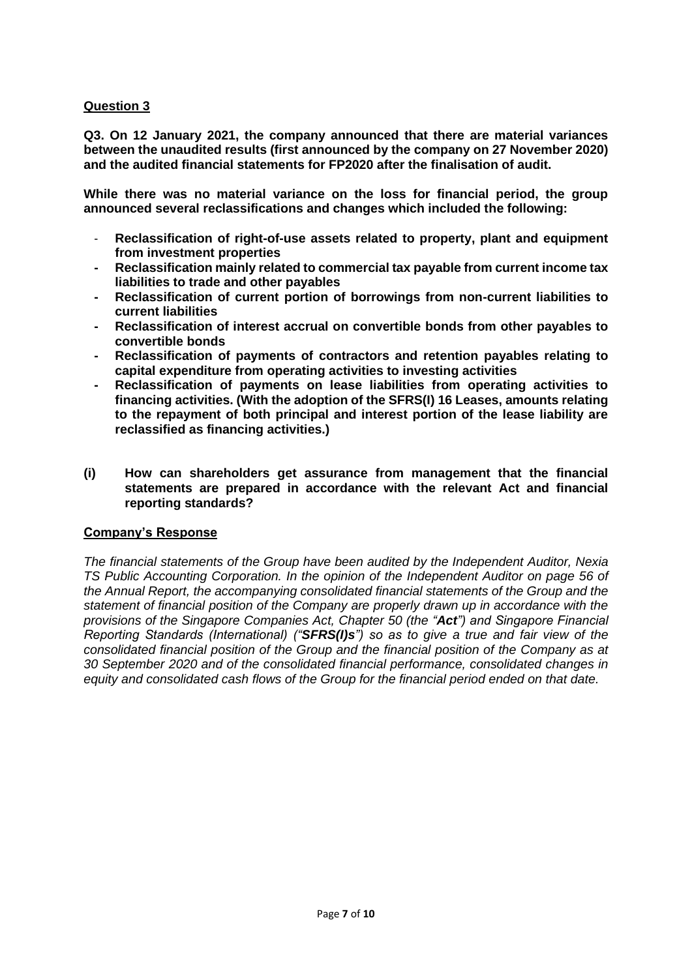# **Question 3**

**Q3. On 12 January 2021, the company announced that there are material variances between the unaudited results (first announced by the company on 27 November 2020) and the audited financial statements for FP2020 after the finalisation of audit.**

**While there was no material variance on the loss for financial period, the group announced several reclassifications and changes which included the following:**

- **Reclassification of right-of-use assets related to property, plant and equipment from investment properties**
- **- Reclassification mainly related to commercial tax payable from current income tax liabilities to trade and other payables**
- **- Reclassification of current portion of borrowings from non-current liabilities to current liabilities**
- **- Reclassification of interest accrual on convertible bonds from other payables to convertible bonds**
- **- Reclassification of payments of contractors and retention payables relating to capital expenditure from operating activities to investing activities**
- **- Reclassification of payments on lease liabilities from operating activities to financing activities. (With the adoption of the SFRS(I) 16 Leases, amounts relating to the repayment of both principal and interest portion of the lease liability are reclassified as financing activities.)**
- **(i) How can shareholders get assurance from management that the financial statements are prepared in accordance with the relevant Act and financial reporting standards?**

### **Company's Response**

*The financial statements of the Group have been audited by the Independent Auditor, Nexia TS Public Accounting Corporation. In the opinion of the Independent Auditor on page 56 of the Annual Report, the accompanying consolidated financial statements of the Group and the statement of financial position of the Company are properly drawn up in accordance with the provisions of the Singapore Companies Act, Chapter 50 (the "Act") and Singapore Financial Reporting Standards (International) ("SFRS(I)s") so as to give a true and fair view of the consolidated financial position of the Group and the financial position of the Company as at 30 September 2020 and of the consolidated financial performance, consolidated changes in equity and consolidated cash flows of the Group for the financial period ended on that date.*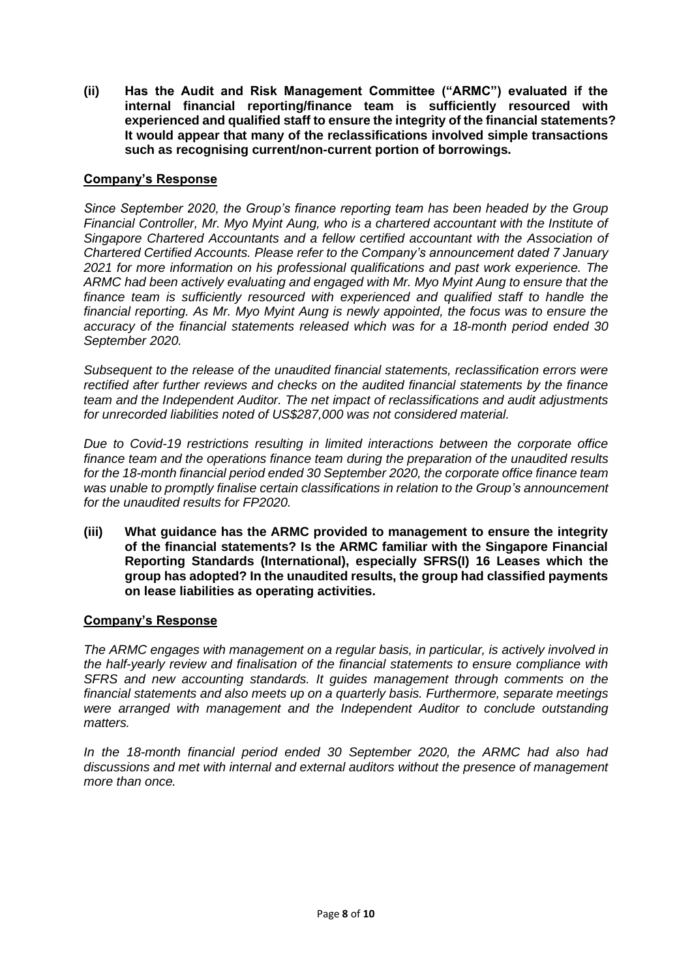**(ii) Has the Audit and Risk Management Committee ("ARMC") evaluated if the internal financial reporting/finance team is sufficiently resourced with experienced and qualified staff to ensure the integrity of the financial statements? It would appear that many of the reclassifications involved simple transactions such as recognising current/non-current portion of borrowings.**

#### **Company's Response**

*Since September 2020, the Group's finance reporting team has been headed by the Group Financial Controller, Mr. Myo Myint Aung, who is a chartered accountant with the Institute of Singapore Chartered Accountants and a fellow certified accountant with the Association of Chartered Certified Accounts. Please refer to the Company's announcement dated 7 January 2021 for more information on his professional qualifications and past work experience. The ARMC had been actively evaluating and engaged with Mr. Myo Myint Aung to ensure that the finance team is sufficiently resourced with experienced and qualified staff to handle the financial reporting. As Mr. Myo Myint Aung is newly appointed, the focus was to ensure the accuracy of the financial statements released which was for a 18-month period ended 30 September 2020.*

*Subsequent to the release of the unaudited financial statements, reclassification errors were rectified after further reviews and checks on the audited financial statements by the finance team and the Independent Auditor. The net impact of reclassifications and audit adjustments for unrecorded liabilities noted of US\$287,000 was not considered material.* 

*Due to Covid-19 restrictions resulting in limited interactions between the corporate office finance team and the operations finance team during the preparation of the unaudited results for the 18-month financial period ended 30 September 2020, the corporate office finance team was unable to promptly finalise certain classifications in relation to the Group's announcement for the unaudited results for FP2020.*

**(iii) What guidance has the ARMC provided to management to ensure the integrity of the financial statements? Is the ARMC familiar with the Singapore Financial Reporting Standards (International), especially SFRS(I) 16 Leases which the group has adopted? In the unaudited results, the group had classified payments on lease liabilities as operating activities.**

### **Company's Response**

*The ARMC engages with management on a regular basis, in particular, is actively involved in the half-yearly review and finalisation of the financial statements to ensure compliance with SFRS and new accounting standards. It guides management through comments on the financial statements and also meets up on a quarterly basis. Furthermore, separate meetings were arranged with management and the Independent Auditor to conclude outstanding matters.*

*In the 18-month financial period ended 30 September 2020, the ARMC had also had discussions and met with internal and external auditors without the presence of management more than once.*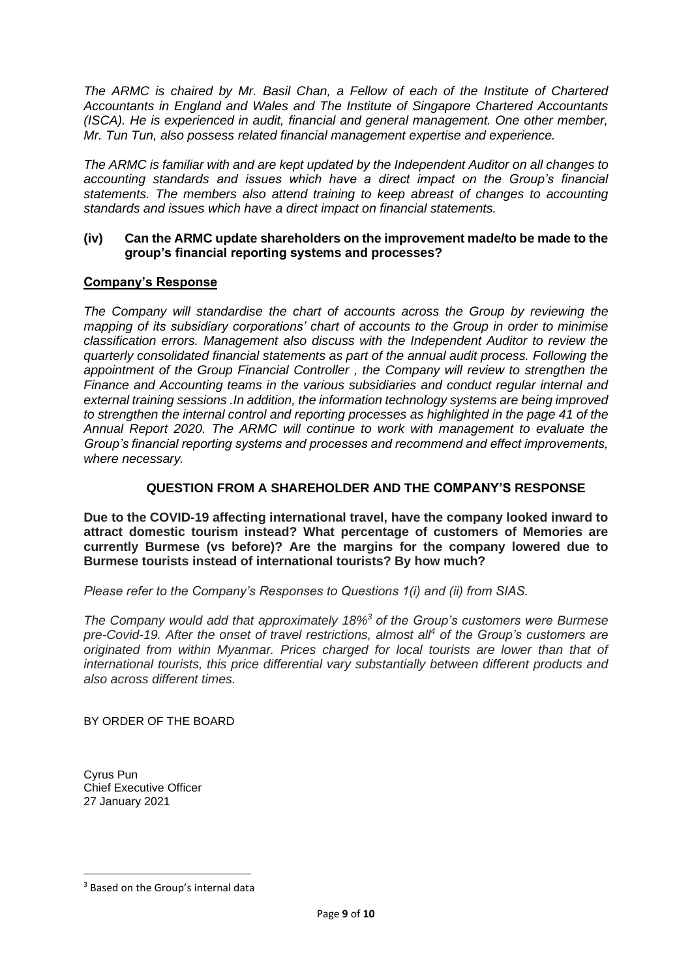*The ARMC is chaired by Mr. Basil Chan, a Fellow of each of the Institute of Chartered Accountants in England and Wales and The Institute of Singapore Chartered Accountants (ISCA). He is experienced in audit, financial and general management. One other member, Mr. Tun Tun, also possess related financial management expertise and experience.* 

*The ARMC is familiar with and are kept updated by the Independent Auditor on all changes to accounting standards and issues which have a direct impact on the Group's financial statements. The members also attend training to keep abreast of changes to accounting standards and issues which have a direct impact on financial statements.*

#### **(iv) Can the ARMC update shareholders on the improvement made/to be made to the group's financial reporting systems and processes?**

# **Company's Response**

*The Company will standardise the chart of accounts across the Group by reviewing the mapping of its subsidiary corporations' chart of accounts to the Group in order to minimise classification errors. Management also discuss with the Independent Auditor to review the quarterly consolidated financial statements as part of the annual audit process. Following the appointment of the Group Financial Controller , the Company will review to strengthen the Finance and Accounting teams in the various subsidiaries and conduct regular internal and external training sessions .In addition, the information technology systems are being improved to strengthen the internal control and reporting processes as highlighted in the page 41 of the Annual Report 2020. The ARMC will continue to work with management to evaluate the Group's financial reporting systems and processes and recommend and effect improvements, where necessary.*

# **QUESTION FROM A SHAREHOLDER AND THE COMPANY'S RESPONSE**

**Due to the COVID-19 affecting international travel, have the company looked inward to attract domestic tourism instead? What percentage of customers of Memories are currently Burmese (vs before)? Are the margins for the company lowered due to Burmese tourists instead of international tourists? By how much?**

*Please refer to the Company's Responses to Questions 1(i) and (ii) from SIAS.*

*The Company would add that approximately 18%<sup>3</sup> of the Group's customers were Burmese pre-Covid-19. After the onset of travel restrictions, almost all<sup>4</sup> of the Group's customers are originated from within Myanmar. Prices charged for local tourists are lower than that of international tourists, this price differential vary substantially between different products and also across different times.*

BY ORDER OF THE BOARD

Cyrus Pun Chief Executive Officer 27 January 2021

<sup>&</sup>lt;sup>3</sup> Based on the Group's internal data